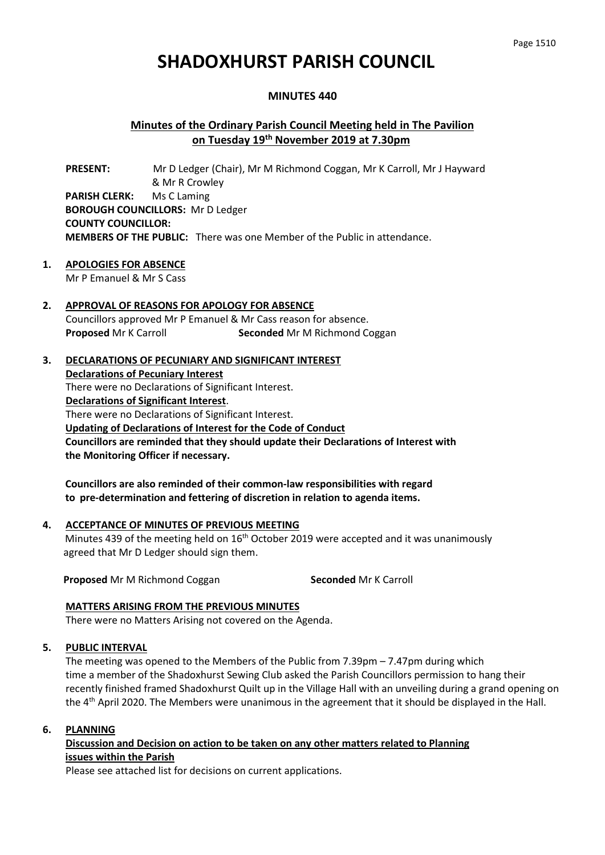# **SHADOXHURST PARISH COUNCIL**

## **MINUTES 440**

# **Minutes of the Ordinary Parish Council Meeting held in The Pavilion on Tuesday 19th November 2019 at 7.30pm**

**PRESENT:** Mr D Ledger (Chair), Mr M Richmond Coggan, Mr K Carroll, Mr J Hayward & Mr R Crowley **PARISH CLERK:** Ms C Laming **BOROUGH COUNCILLORS:** Mr D Ledger **COUNTY COUNCILLOR: MEMBERS OF THE PUBLIC:** There was one Member of the Public in attendance.

- **1. APOLOGIES FOR ABSENCE** Mr P Emanuel & Mr S Cass
- **2. APPROVAL OF REASONS FOR APOLOGY FOR ABSENCE** Councillors approved Mr P Emanuel & Mr Cass reason for absence. **Proposed** Mr K Carroll **Seconded** Mr M Richmond Coggan
- **3. DECLARATIONS OF PECUNIARY AND SIGNIFICANT INTEREST Declarations of Pecuniary Interest** There were no Declarations of Significant Interest. **Declarations of Significant Interest**. There were no Declarations of Significant Interest. **Updating of Declarations of Interest for the Code of Conduct Councillors are reminded that they should update their Declarations of Interest with the Monitoring Officer if necessary.**

**Councillors are also reminded of their common-law responsibilities with regard to pre-determination and fettering of discretion in relation to agenda items.** 

**4. ACCEPTANCE OF MINUTES OF PREVIOUS MEETING** Minutes 439 of the meeting held on  $16<sup>th</sup>$  October 2019 were accepted and it was unanimously agreed that Mr D Ledger should sign them.

**Proposed** Mr M Richmond Coggan **Seconded** Mr K Carroll

#### **MATTERS ARISING FROM THE PREVIOUS MINUTES**

There were no Matters Arising not covered on the Agenda.

#### **5. PUBLIC INTERVAL**

The meeting was opened to the Members of the Public from 7.39pm – 7.47pm during which time a member of the Shadoxhurst Sewing Club asked the Parish Councillors permission to hang their recently finished framed Shadoxhurst Quilt up in the Village Hall with an unveiling during a grand opening on the 4<sup>th</sup> April 2020. The Members were unanimous in the agreement that it should be displayed in the Hall.

#### **6. PLANNING**

**Discussion and Decision on action to be taken on any other matters related to Planning issues within the Parish**

Please see attached list for decisions on current applications.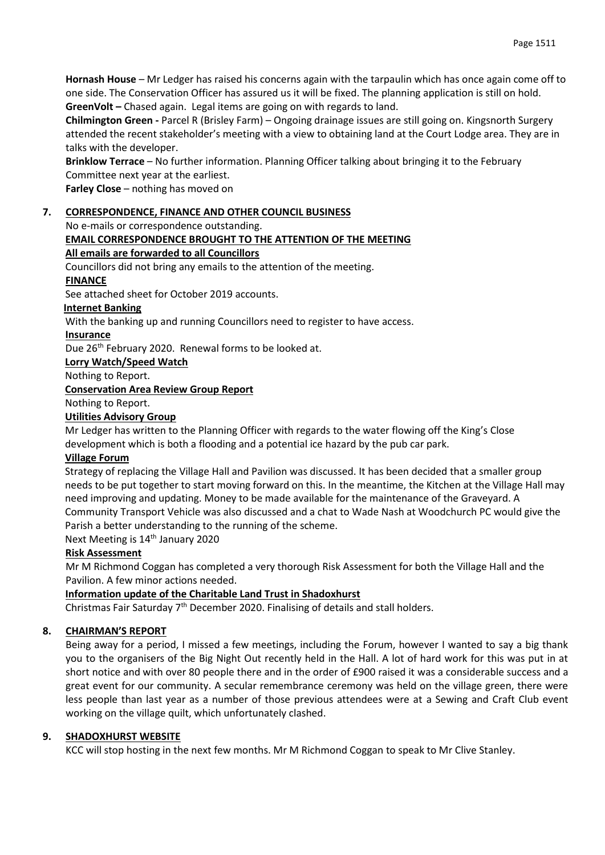**Hornash House** – Mr Ledger has raised his concerns again with the tarpaulin which has once again come off to one side. The Conservation Officer has assured us it will be fixed. The planning application is still on hold. **GreenVolt –** Chased again. Legal items are going on with regards to land.

**Chilmington Green -** Parcel R (Brisley Farm) – Ongoing drainage issues are still going on. Kingsnorth Surgery attended the recent stakeholder's meeting with a view to obtaining land at the Court Lodge area. They are in talks with the developer.

**Brinklow Terrace** – No further information. Planning Officer talking about bringing it to the February Committee next year at the earliest.

**Farley Close** – nothing has moved on

# **7. CORRESPONDENCE, FINANCE AND OTHER COUNCIL BUSINESS**

No e-mails or correspondence outstanding.

# **EMAIL CORRESPONDENCE BROUGHT TO THE ATTENTION OF THE MEETING**

# **All emails are forwarded to all Councillors**

Councillors did not bring any emails to the attention of the meeting.

## **FINANCE**

See attached sheet for October 2019 accounts.

# **Internet Banking**

With the banking up and running Councillors need to register to have access.

## **Insurance**

Due 26<sup>th</sup> February 2020. Renewal forms to be looked at.

## **Lorry Watch/Speed Watch**

Nothing to Report.

# **Conservation Area Review Group Report**

Nothing to Report.

## **Utilities Advisory Group**

Mr Ledger has written to the Planning Officer with regards to the water flowing off the King's Close development which is both a flooding and a potential ice hazard by the pub car park.

# **Village Forum**

Strategy of replacing the Village Hall and Pavilion was discussed. It has been decided that a smaller group needs to be put together to start moving forward on this. In the meantime, the Kitchen at the Village Hall may need improving and updating. Money to be made available for the maintenance of the Graveyard. A Community Transport Vehicle was also discussed and a chat to Wade Nash at Woodchurch PC would give the Parish a better understanding to the running of the scheme.

Next Meeting is 14<sup>th</sup> January 2020

# **Risk Assessment**

Mr M Richmond Coggan has completed a very thorough Risk Assessment for both the Village Hall and the Pavilion. A few minor actions needed.

# **Information update of the Charitable Land Trust in Shadoxhurst**

Christmas Fair Saturday 7<sup>th</sup> December 2020. Finalising of details and stall holders.

# **8. CHAIRMAN'S REPORT**

Being away for a period, I missed a few meetings, including the Forum, however I wanted to say a big thank you to the organisers of the Big Night Out recently held in the Hall. A lot of hard work for this was put in at short notice and with over 80 people there and in the order of £900 raised it was a considerable success and a great event for our community. A secular remembrance ceremony was held on the village green, there were less people than last year as a number of those previous attendees were at a Sewing and Craft Club event working on the village quilt, which unfortunately clashed.

#### **9. SHADOXHURST WEBSITE**

KCC will stop hosting in the next few months. Mr M Richmond Coggan to speak to Mr Clive Stanley.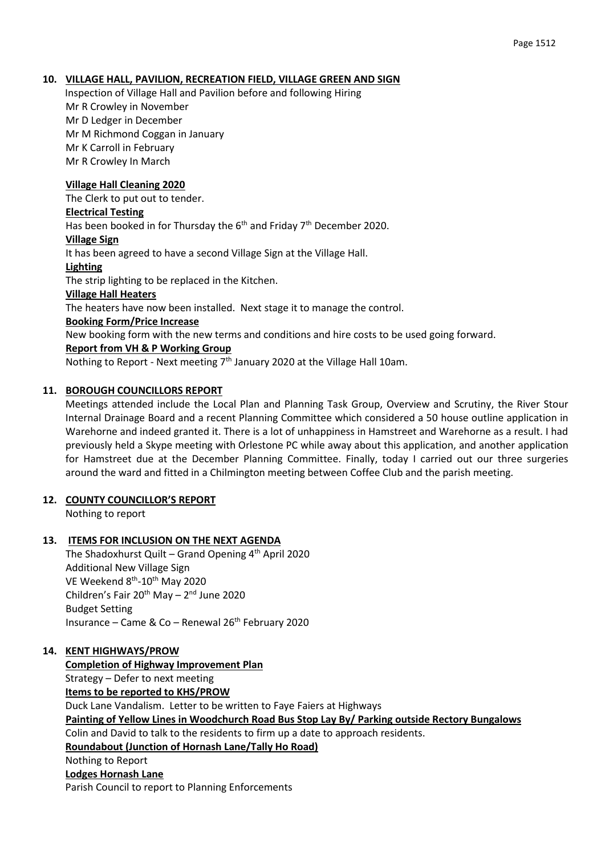#### Page 1512

#### **10. VILLAGE HALL, PAVILION, RECREATION FIELD, VILLAGE GREEN AND SIGN**

Inspection of Village Hall and Pavilion before and following Hiring Mr R Crowley in November Mr D Ledger in December Mr M Richmond Coggan in January Mr K Carroll in February Mr R Crowley In March

#### **Village Hall Cleaning 2020**

The Clerk to put out to tender.

#### **Electrical Testing**

Has been booked in for Thursday the  $6<sup>th</sup>$  and Friday  $7<sup>th</sup>$  December 2020.

#### **Village Sign**

It has been agreed to have a second Village Sign at the Village Hall.

#### **Lighting**

The strip lighting to be replaced in the Kitchen.

#### **Village Hall Heaters**

The heaters have now been installed. Next stage it to manage the control.

#### **Booking Form/Price Increase**

New booking form with the new terms and conditions and hire costs to be used going forward.

#### **Report from VH & P Working Group**

Nothing to Report - Next meeting  $7<sup>th</sup>$  January 2020 at the Village Hall 10am.

#### **11. BOROUGH COUNCILLORS REPORT**

Meetings attended include the Local Plan and Planning Task Group, Overview and Scrutiny, the River Stour Internal Drainage Board and a recent Planning Committee which considered a 50 house outline application in Warehorne and indeed granted it. There is a lot of unhappiness in Hamstreet and Warehorne as a result. I had previously held a Skype meeting with Orlestone PC while away about this application, and another application for Hamstreet due at the December Planning Committee. Finally, today I carried out our three surgeries around the ward and fitted in a Chilmington meeting between Coffee Club and the parish meeting.

#### **12. COUNTY COUNCILLOR'S REPORT**

Nothing to report

#### **13. ITEMS FOR INCLUSION ON THE NEXT AGENDA**

The Shadoxhurst Quilt – Grand Opening 4<sup>th</sup> April 2020 Additional New Village Sign VE Weekend 8<sup>th</sup>-10<sup>th</sup> May 2020 Children's Fair 20<sup>th</sup> May – 2<sup>nd</sup> June 2020 Budget Setting Insurance – Came & Co – Renewal  $26<sup>th</sup>$  February 2020

#### **14. KENT HIGHWAYS/PROW**

**Completion of Highway Improvement Plan** Strategy – Defer to next meeting **Items to be reported to KHS/PROW** Duck Lane Vandalism. Letter to be written to Faye Faiers at Highways **Painting of Yellow Lines in Woodchurch Road Bus Stop Lay By/ Parking outside Rectory Bungalows** Colin and David to talk to the residents to firm up a date to approach residents. **Roundabout (Junction of Hornash Lane/Tally Ho Road)** Nothing to Report **Lodges Hornash Lane** Parish Council to report to Planning Enforcements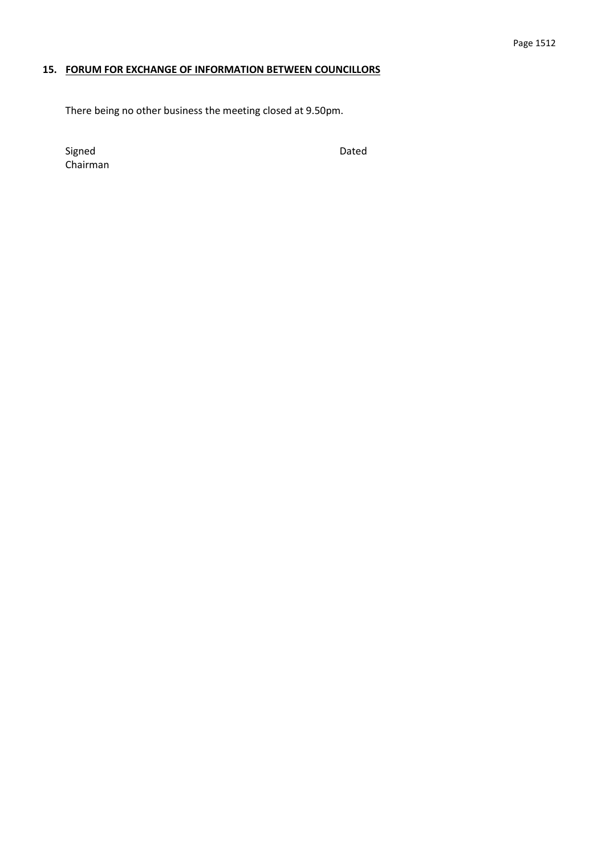## **15. FORUM FOR EXCHANGE OF INFORMATION BETWEEN COUNCILLORS**

There being no other business the meeting closed at 9.50pm.

Signed Dated Chairman